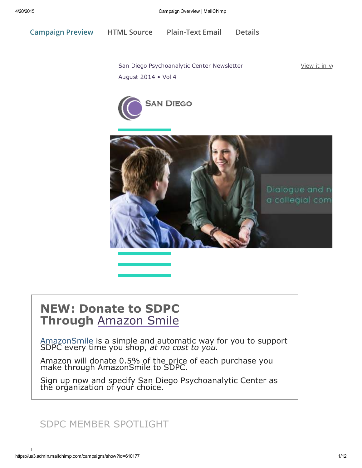Campaign Preview HTML Source [Plain-Text](javascript:;) Email Details

San Diego [Psychoanalytic](https://us3.admin.mailchimp.com/account/profile/) Center Newsletter August 2014 • Vol 4

View it in y





# [NEW:](http://smile.amazon.com/about) Donate to SDPC Through Amazon Smile

AmazonSmile is a simple and automatic way for you to support SDPC every time you shop, *at no cost to you.*

Amazon will donate 0.5% of the price of each purchase you make through AmazonSmile to SDPC.

Sign up now and specify San Diego Psychoanalytic Center as the organization of your choice.

# SDPC MEMBER SPOTLIGHT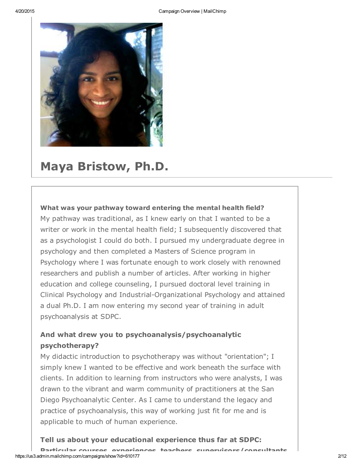

# Maya Bristow, Ph.D.

### What was your pathway toward entering the mental health field?

My pathway was traditional, as I knew early on that I wanted to be a writer or work in the mental health field; I subsequently discovered that as a psychologist I could do both. I pursued my undergraduate degree in psychology and then completed a Masters of Science program in Psychology where I was fortunate enough to work closely with renowned researchers and publish a number of articles. After working in higher education and college counseling, I pursued doctoral level training in Clinical Psychology and Industrial-Organizational Psychology and attained a dual Ph.D. I am now entering my second year of training in adult psychoanalysis at SDPC.

## And what drew you to psychoanalysis/psychoanalytic psychotherapy?

My didactic introduction to psychotherapy was without "orientation"; I simply knew I wanted to be effective and work beneath the surface with clients. In addition to learning from instructors who were analysts, I was drawn to the vibrant and warm community of practitioners at the San Diego Psychoanalytic Center. As I came to understand the legacy and practice of psychoanalysis, this way of working just fit for me and is applicable to much of human experience.

### Tell us about your educational experience thus far at SDPC: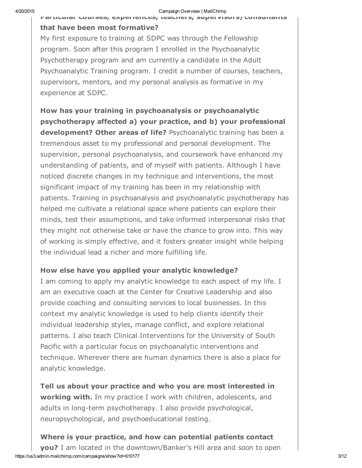#### 4/20/2015 Campaign Overview | MailChimp

#### Particular courses, experiences, teachers, supervisors/consultants

#### that have been most formative?

My first exposure to training at SDPC was through the Fellowship program. Soon after this program I enrolled in the Psychoanalytic Psychotherapy program and am currently a candidate in the Adult Psychoanalytic Training program. I credit a number of courses, teachers, supervisors, mentors, and my personal analysis as formative in my experience at SDPC.

How has your training in psychoanalysis or psychoanalytic psychotherapy affected a) your practice, and b) your professional development? Other areas of life? Psychoanalytic training has been a tremendous asset to my professional and personal development. The supervision, personal psychoanalysis, and coursework have enhanced my understanding of patients, and of myself with patients. Although I have noticed discrete changes in my technique and interventions, the most significant impact of my training has been in my relationship with patients. Training in psychoanalysis and psychoanalytic psychotherapy has helped me cultivate a relational space where patients can explore their minds, test their assumptions, and take informed interpersonal risks that they might not otherwise take or have the chance to grow into. This way of working is simply effective, and it fosters greater insight while helping the individual lead a richer and more fulfilling life.

### How else have you applied your analytic knowledge?

I am coming to apply my analytic knowledge to each aspect of my life. I am an executive coach at the Center for Creative Leadership and also provide coaching and consulting services to local businesses. In this context my analytic knowledge is used to help clients identify their individual leadership styles, manage conflict, and explore relational patterns. I also teach Clinical Interventions for the University of South Pacific with a particular focus on psychoanalytic interventions and technique. Wherever there are human dynamics there is also a place for analytic knowledge.

Tell us about your practice and who you are most interested in working with. In my practice I work with children, adolescents, and adults in long-term psychotherapy. I also provide psychological, neuropsychological, and psychoeducational testing.

## Where is your practice, and how can [potential](mailto:drbristow@medofficemail.com) patients contact

https://us3.admin.mailchimp.com/campaigns/show?id=610177 3/12 you? I am located in the downtown/Banker's Hill area and soon to open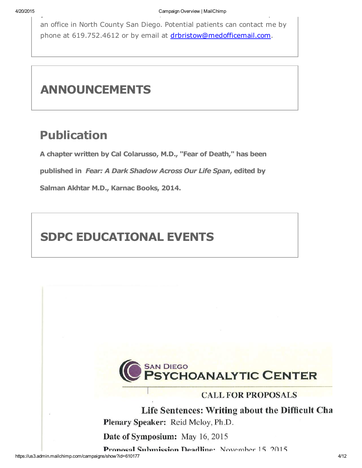an office in North County San Diego. Potential patients can contact me by phone at 619.752.4612 or by email at drbristow@medofficemail.com.

# ANNOUNCEMENTS

# Publication

A chapter written by Cal Colarusso, M.D., "Fear of Death," has been

published in *Fear: A Dark Shadow Across Our Life Span*, edited by

Salman Akhtar M.D., Karnac Books, 2014.

# SDPC EDUCATIONAL EVENTS



## **CALL FOR PROPOSALS**

Life Sentences: Writing about the Difficult Cha Plenary Speaker: Reid Meloy, Ph.D.

Date of Symposium: May 16, 2015

Proposal Submission Deadline: November 15, 2015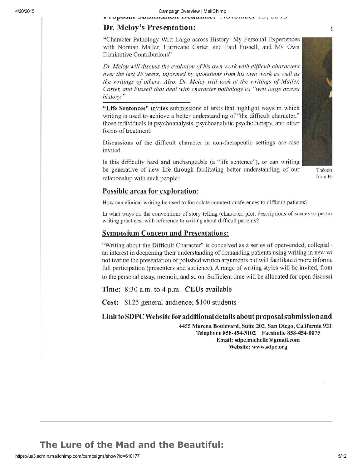орозиг элгэлтээлэн тулилтгэ  $1101$ VIIIUVI  $1014$ 

### Dr. Meloy's Presentation:

"Character Pathology Writ Large across History: My Personal Experiences with Norman Mailer, Hurricane Carter, and Paul Fussell, and My Own Diminutive Contributions"

Dr. Meloy will discuss the evolution of his own work with difficult characters over the last 25 years, informed by quotations from his own work as well as the writings of others. Also, Dr. Meloy will look at the writings of Mailer, Carter, and Fussell that deal with character pathology as "writ large across" history."

"Life Sentences" invites submissions of texts that highlight ways in which writing is used to achieve a better understanding of "the difficult character," those individuals in psychoanalysis, psychoanalytic psychotherapy, and other forms of treatment.

Discussions of the difficult character in non-therapeutic settings are also invited.

Is this difficulty hard and unchangeable (a "life sentence"), or can writing be generative of new life through facilitating better understanding of our relationship with such people?

Théodor from Po

#### **Possible areas for exploration:**

How can clinical writing be used to formulate countertransferences to difficult patients?

In what ways do the conventions of story-telling (character, plot, descriptions of scenes or person writing practices, with reference to writing about difficult patients?

#### **Symposium Concept and Presentations:**

"Writing about the Difficult Character" is conceived as a series of open-ended, collegial of an interest in deepening their understanding of demanding patients using writing in new way not feature the presentation of polished written arguments but will facilitate a more informa full participation (presenters and audience). A range of writing styles will be invited, from to the personal essay, memoir, and so on. Sufficient time will be allocated for open discussi-

Time: 8:30 a.m. to 4 p.m. CEUs available

Cost: \$125 general audience; \$100 students

#### Link to SDPC Website for additional details about proposal submission and

4455 Morena Boulevard, Suite 202, San Diego, California 9211 Telephone 858-454-3102 Facsimile 858-454-0075 Email: sdpc.michelle@gmail.com Website: www.sdpc.org

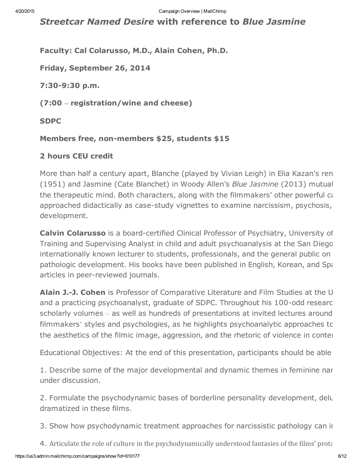*Streetcar Named Desire* with reference to *Blue Jasmine*

Faculty: Cal Colarusso, M.D., Alain Cohen, Ph.D.

Friday, September 26, 2014

7:30-9:30 p.m.

(7:00 – registration/wine and cheese)

SDPC

Members free, non-members \$25, students \$15

### 2 hours CEU credit

More than half a century apart, Blanche (played by Vivian Leigh) in Elia Kazan's ren (1951) and Jasmine (Cate Blanchet) in Woody Allen's *Blue Jasmine* (2013) mutual the therapeutic mind. Both characters, along with the filmmakers' other powerful cast of a approached didactically as case-study vignettes to examine narcissism, psychosis, development.

Calvin Colarusso is a board-certified Clinical Professor of Psychiatry, University of Training and Supervising Analyst in child and adult psychoanalysis at the San Diego internationally known lecturer to students, professionals, and the general public on pathologic development. His books have been published in English, Korean, and Spanish. He has published over 5 articles in peer-reviewed journals.

Alain J.-J. Cohen is Professor of Comparative Literature and Film Studies at the U and a practicing psychoanalyst, graduate of SDPC. Throughout his 100-odd researc scholarly volumes – as well as hundreds of presentations at invited lectures around filmmakers' styles and psychologies, as he highlights psychoanalytic approaches to the aesthetics of the filmic image, aggression, and the rhetoric of violence in conter

Educational Objectives: At the end of this presentation, participants should be able

1. Describe some of the major developmental and dynamic themes in feminine nar under discussion.

2. Formulate the psychodynamic bases of borderline personality development, delusional states, and psychodynamic bases dramatized in these films.

3. Show how psychodynamic treatment approaches for narcissistic pathology can in

4. Articulate the role of culture in the psychodynamically understood fantasies of the films' prota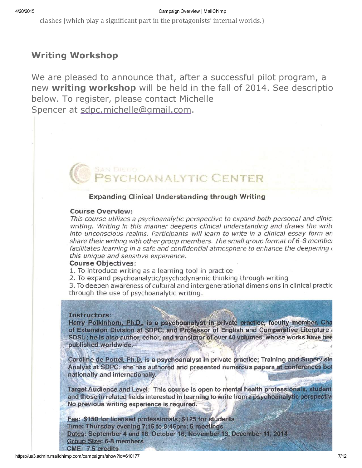clashes (which play a significant part in the protagonists' internal worlds.)

## Writing Workshop

We are pleased to [announce](mailto:sdpc.michelle@gmail.com) that, after a successful pilot program, a new writing workshop will be held in the fall of 2014. See description below. To register, please contact Michelle Spencer at sdpc.michelle@gmail.com.

## **Expanding Clinical Understanding through Writing**

#### **Course Overview:**

This course utilizes a psychoanalytic perspective to expand both personal and clinica writing. Writing in this manner deepens clinical understanding and draws the write into unconscious realms. Participants will learn to write in a clinical essay form an share their writing with other group members. The small group format of 6-8 member facilitates learning in a safe and confidential atmosphere to enhance the deepening of this unique and sensitive experience.

**HOANALYTIC CENTER** 

### **Course Objectives:**

1. To introduce writing as a learning tool in practice

2. To expand psychoanalytic/psychodynamic thinking through writing

3. To deepen awareness of cultural and intergenerational dimensions in clinical practic through the use of psychoanalytic writing.

#### Instructors:

Harry Polkinhorn, Ph.D., is a psychoanalyst in private practice, faculty member, Cha of Extension Division at SDPC, and Professor of English and Comparative Literature a SDSU; he is also author, editor, and translator of over 40 volumes, whose works have bee published worldwide.

Caroline de Pottél, Ph.D. is a psychoanalyst in private practice; Training and Supervisin Analyst at SDPC; she has authored and presented numerous papers at conferences bot nationally and internationally.

Target Audience and Level: This course is open to mental health professionals, students and those in related fields interested in learning to write from a psychoanalytic perspective No previous writing experience is required.

Fee: \$150 for licensed professionals; \$125 for students Time: Thursday evening 7:15 to 8:45pm; 5 meetings Dates: September 4 and 18. October 16, November 13. December 11, 2014 **Group Size: 6-8 members CME: 7.5 credits**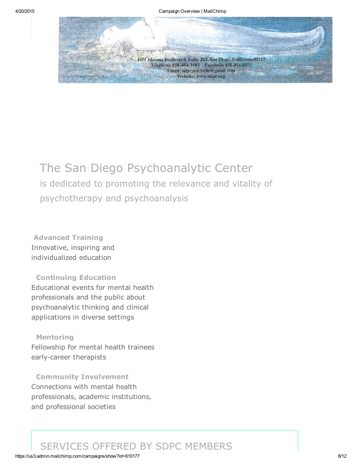

# The San Diego Psychoanalytic Center is dedicated to promoting the relevance and vitality of psychotherapy and psychoanalysis

Advanced Training Innovative, inspiring and individualized education

Continuing Education Educational events for mental health professionals and the public about psychoanalytic thinking and clinical applications in diverse settings

Mentoring Fellowship for mental health trainees early-career therapists

Community Involvement Connections with mental health professionals, academic institutions, and professional societies

## SERVICES OFFERED BY SDPC MEMBERS

#### https://us3.admin.mailchimp.com/campaigns/show?id=610177 8/12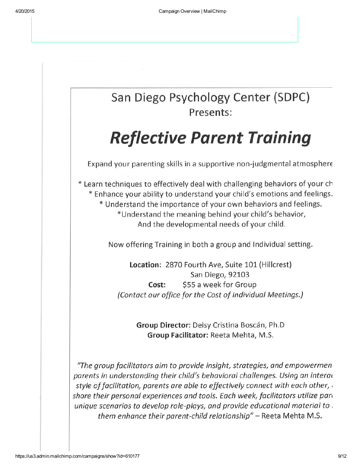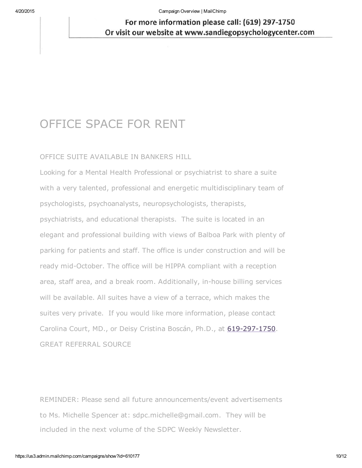4/20/2015 Campaign Overview | MailChimp

## For more information please call: (619) 297-1750 Or visit our website at www.sandiegopsychologycenter.com

# OFFICE SPACE FOR RENT

### OFFICE SUITE AVAILABLE IN BANKERS HILL

Looking for a Mental Health Professional or psychiatrist to share a suite with a very talented, professional and energetic multidisciplinary team of psychologists, psychoanalysts, neuropsychologists, therapists, psychiatrists, and educational therapists. The suite is located in an elegant and professional building with views of Balboa Park with plenty of parking for patients and staff. The office is under construction and will be ready mid-October. The office will be HIPPA compliant with a reception area, staff area, and a break room. Additionally, in-house billing services will be available. All suites have a view of a terrace, which [makes](tel:619-297-1750) the suites very private. If you would like more information, please contact Carolina Court, MD., or Deisy Cristina Boscán, Ph.D., at 619-297-1750. GREAT REFERRAL SOURCE

REMINDER: Please send all future announcements/event advertisements to Ms. Michelle Spencer at: sdpc.michelle@gmail.com. They will be included in the next volume of the SDPC Weekly Newsletter.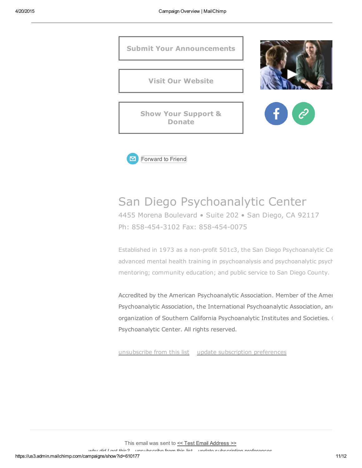



# San Diego Psychoanalytic Center

4455 Morena Boulevard • Suite 202 • San Diego, CA 92117 Ph: 858-454-3102 Fax: 858-454-0075

Established in 1973 as a non-profit 501c3, the San Diego Psychoanalytic Ce advanced mental health training in psychoanalysis and psychoanalytic psych mentoring; community education; and public service to San Diego County.

Accredited by the American Psychoanalytic Association. Member of the Amer Psychoanalytic Association, the International Psychoanalytic Association, and [organization](http://sdpsychoanalytic.us3.list-manage1.com/unsubscribe?u=e579b5babe4b487bafecbf868&id=3cb469b61c&e=[UNIQID]&c=83da9dae5d) of Southern California [Psychoanalytic](http://sdpsychoanalytic.us3.list-manage.com/profile?u=e579b5babe4b487bafecbf868&id=3cb469b61c&e=[UNIQID]) Institutes and Societies.  $\longleftarrow$ Psychoanalytic Center. All rights reserved.

unsubscribe from this list update subscription preferences

This email was sent to << Test Email Address >>